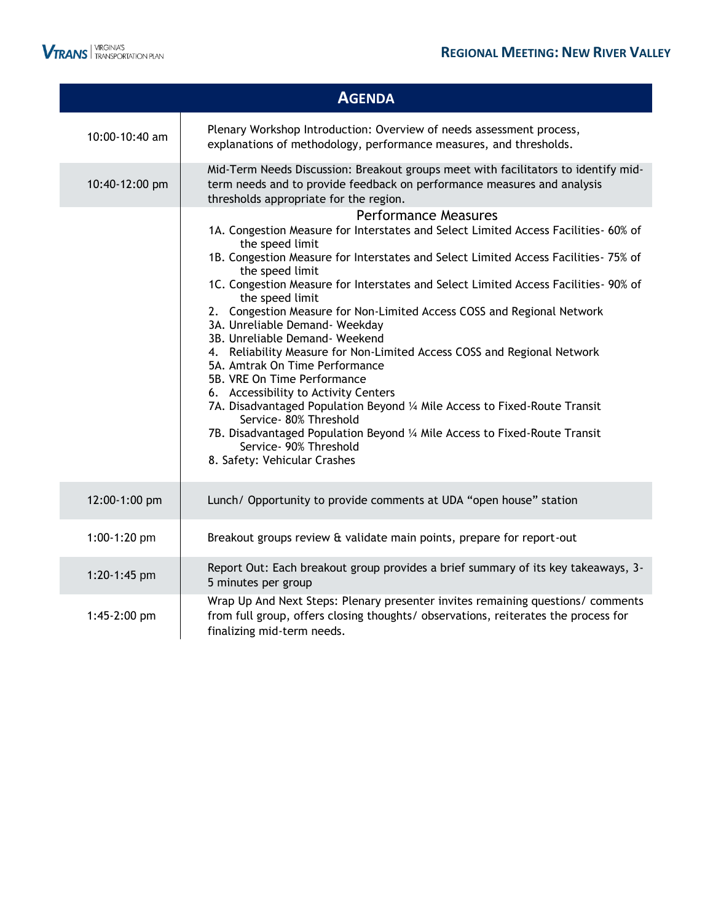

|                | <b>AGENDA</b>                                                                                                                                                                                                                                                                                                                                                                                                                                                                                                                                                                                                                                                                                                                                                                                                                                                                                                                               |
|----------------|---------------------------------------------------------------------------------------------------------------------------------------------------------------------------------------------------------------------------------------------------------------------------------------------------------------------------------------------------------------------------------------------------------------------------------------------------------------------------------------------------------------------------------------------------------------------------------------------------------------------------------------------------------------------------------------------------------------------------------------------------------------------------------------------------------------------------------------------------------------------------------------------------------------------------------------------|
| 10:00-10:40 am | Plenary Workshop Introduction: Overview of needs assessment process,<br>explanations of methodology, performance measures, and thresholds.                                                                                                                                                                                                                                                                                                                                                                                                                                                                                                                                                                                                                                                                                                                                                                                                  |
| 10:40-12:00 pm | Mid-Term Needs Discussion: Breakout groups meet with facilitators to identify mid-<br>term needs and to provide feedback on performance measures and analysis<br>thresholds appropriate for the region.                                                                                                                                                                                                                                                                                                                                                                                                                                                                                                                                                                                                                                                                                                                                     |
|                | <b>Performance Measures</b><br>1A. Congestion Measure for Interstates and Select Limited Access Facilities- 60% of<br>the speed limit<br>1B. Congestion Measure for Interstates and Select Limited Access Facilities- 75% of<br>the speed limit<br>1C. Congestion Measure for Interstates and Select Limited Access Facilities- 90% of<br>the speed limit<br>2. Congestion Measure for Non-Limited Access COSS and Regional Network<br>3A. Unreliable Demand- Weekday<br>3B. Unreliable Demand- Weekend<br>4. Reliability Measure for Non-Limited Access COSS and Regional Network<br>5A. Amtrak On Time Performance<br>5B. VRE On Time Performance<br>6. Accessibility to Activity Centers<br>7A. Disadvantaged Population Beyond 1/4 Mile Access to Fixed-Route Transit<br>Service- 80% Threshold<br>7B. Disadvantaged Population Beyond 1/4 Mile Access to Fixed-Route Transit<br>Service- 90% Threshold<br>8. Safety: Vehicular Crashes |
| 12:00-1:00 pm  | Lunch/ Opportunity to provide comments at UDA "open house" station                                                                                                                                                                                                                                                                                                                                                                                                                                                                                                                                                                                                                                                                                                                                                                                                                                                                          |
| 1:00-1:20 pm   | Breakout groups review & validate main points, prepare for report-out                                                                                                                                                                                                                                                                                                                                                                                                                                                                                                                                                                                                                                                                                                                                                                                                                                                                       |
| 1:20-1:45 pm   | Report Out: Each breakout group provides a brief summary of its key takeaways, 3-<br>5 minutes per group<br>Wrap Up And Next Steps: Plenary presenter invites remaining questions/ comments                                                                                                                                                                                                                                                                                                                                                                                                                                                                                                                                                                                                                                                                                                                                                 |
| 1:45-2:00 pm   | from full group, offers closing thoughts/ observations, reiterates the process for<br>finalizing mid-term needs.                                                                                                                                                                                                                                                                                                                                                                                                                                                                                                                                                                                                                                                                                                                                                                                                                            |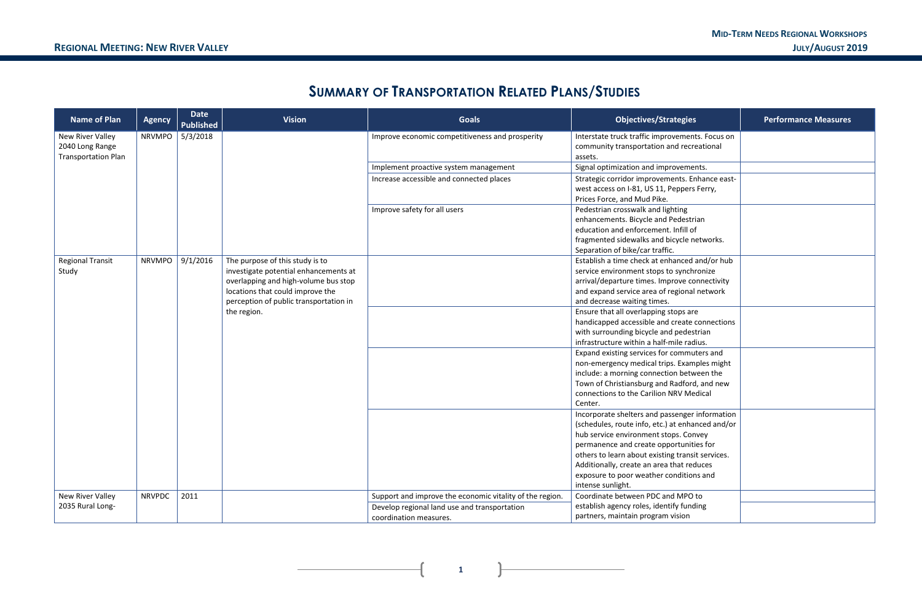# **SUMMARY OF TRANSPORTATION RELATED PLANS/STUDIES**

| <b>Name of Plan</b>        | <b>Agency</b> | <b>Date</b><br><b>Published</b> | <b>Vision</b>                                                            | <b>Goals</b>                                             | <b>Objectives/Strategies</b>                                                              | <b>Performance Measures</b> |
|----------------------------|---------------|---------------------------------|--------------------------------------------------------------------------|----------------------------------------------------------|-------------------------------------------------------------------------------------------|-----------------------------|
| New River Valley           | <b>NRVMPO</b> | 5/3/2018                        |                                                                          | Improve economic competitiveness and prosperity          | Interstate truck traffic improvements. Focus on                                           |                             |
| 2040 Long Range            |               |                                 |                                                                          |                                                          | community transportation and recreational                                                 |                             |
| <b>Transportation Plan</b> |               |                                 |                                                                          |                                                          | assets.                                                                                   |                             |
|                            |               |                                 |                                                                          | Implement proactive system management                    | Signal optimization and improvements.                                                     |                             |
|                            |               |                                 |                                                                          | Increase accessible and connected places                 | Strategic corridor improvements. Enhance east-                                            |                             |
|                            |               |                                 |                                                                          |                                                          | west access on I-81, US 11, Peppers Ferry,                                                |                             |
|                            |               |                                 |                                                                          |                                                          | Prices Force, and Mud Pike.                                                               |                             |
|                            |               |                                 |                                                                          | Improve safety for all users                             | Pedestrian crosswalk and lighting                                                         |                             |
|                            |               |                                 |                                                                          |                                                          | enhancements. Bicycle and Pedestrian                                                      |                             |
|                            |               |                                 |                                                                          |                                                          | education and enforcement. Infill of                                                      |                             |
|                            |               |                                 |                                                                          |                                                          | fragmented sidewalks and bicycle networks.                                                |                             |
|                            |               |                                 |                                                                          |                                                          | Separation of bike/car traffic.                                                           |                             |
| <b>Regional Transit</b>    | NRVMPO        | 9/1/2016                        | The purpose of this study is to<br>investigate potential enhancements at |                                                          | Establish a time check at enhanced and/or hub                                             |                             |
| Study                      |               |                                 | overlapping and high-volume bus stop                                     |                                                          | service environment stops to synchronize<br>arrival/departure times. Improve connectivity |                             |
|                            |               |                                 | locations that could improve the                                         |                                                          | and expand service area of regional network                                               |                             |
|                            |               |                                 | perception of public transportation in                                   |                                                          | and decrease waiting times.                                                               |                             |
|                            |               |                                 | the region.                                                              |                                                          | Ensure that all overlapping stops are                                                     |                             |
|                            |               |                                 |                                                                          |                                                          | handicapped accessible and create connections                                             |                             |
|                            |               |                                 |                                                                          |                                                          | with surrounding bicycle and pedestrian                                                   |                             |
|                            |               |                                 |                                                                          |                                                          | infrastructure within a half-mile radius.                                                 |                             |
|                            |               |                                 |                                                                          |                                                          | Expand existing services for commuters and                                                |                             |
|                            |               |                                 |                                                                          |                                                          | non-emergency medical trips. Examples might                                               |                             |
|                            |               |                                 |                                                                          |                                                          | include: a morning connection between the                                                 |                             |
|                            |               |                                 |                                                                          |                                                          | Town of Christiansburg and Radford, and new                                               |                             |
|                            |               |                                 |                                                                          |                                                          | connections to the Carilion NRV Medical                                                   |                             |
|                            |               |                                 |                                                                          |                                                          | Center.                                                                                   |                             |
|                            |               |                                 |                                                                          |                                                          | Incorporate shelters and passenger information                                            |                             |
|                            |               |                                 |                                                                          |                                                          | (schedules, route info, etc.) at enhanced and/or                                          |                             |
|                            |               |                                 |                                                                          |                                                          | hub service environment stops. Convey                                                     |                             |
|                            |               |                                 |                                                                          |                                                          | permanence and create opportunities for                                                   |                             |
|                            |               |                                 |                                                                          |                                                          | others to learn about existing transit services.                                          |                             |
|                            |               |                                 |                                                                          |                                                          | Additionally, create an area that reduces                                                 |                             |
|                            |               |                                 |                                                                          |                                                          | exposure to poor weather conditions and                                                   |                             |
|                            |               |                                 |                                                                          |                                                          | intense sunlight.                                                                         |                             |
| New River Valley           | <b>NRVPDC</b> | 2011                            |                                                                          | Support and improve the economic vitality of the region. | Coordinate between PDC and MPO to                                                         |                             |
| 2035 Rural Long-           |               |                                 |                                                                          | Develop regional land use and transportation             | establish agency roles, identify funding                                                  |                             |
|                            |               |                                 |                                                                          | coordination measures.                                   | partners, maintain program vision                                                         |                             |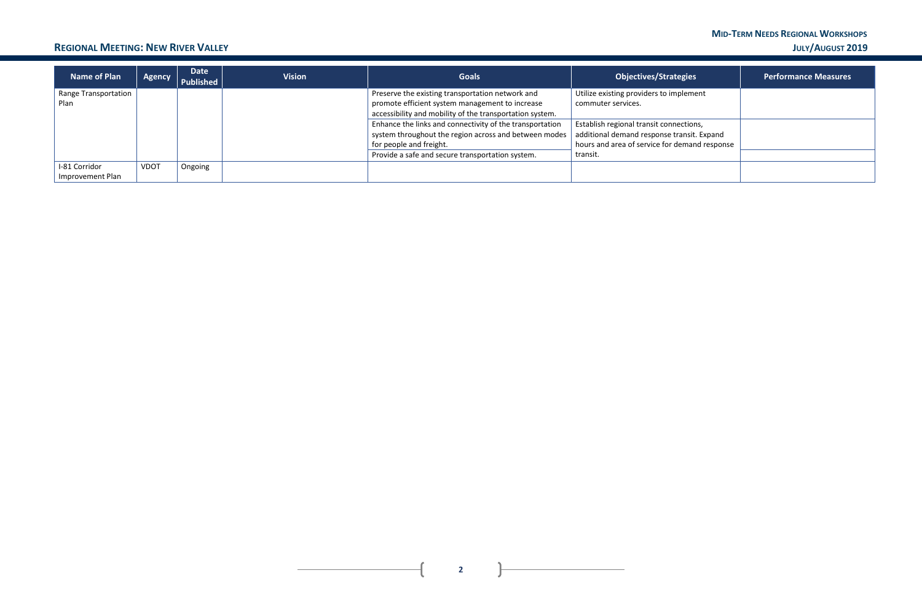#### **MID-TERM NEEDS REGIONAL WORKSHOPS REGIONAL MEETING: NEW RIVER VALLEY JULY/AUGUST 2019**

 $\mathbf{r}$ 

 $\overline{1}$ 

| <b>Name of Plan</b>  | Agency      | <b>Date</b><br>Published | <b>Vision</b> | <b>Goals</b>                                             | <b>Objectives/Strategies</b>                  | <b>Performance Measures</b> |
|----------------------|-------------|--------------------------|---------------|----------------------------------------------------------|-----------------------------------------------|-----------------------------|
| Range Transportation |             |                          |               | Preserve the existing transportation network and         | Utilize existing providers to implement       |                             |
| Plan                 |             |                          |               | promote efficient system management to increase          | commuter services.                            |                             |
|                      |             |                          |               | accessibility and mobility of the transportation system. |                                               |                             |
|                      |             |                          |               | Enhance the links and connectivity of the transportation | Establish regional transit connections,       |                             |
|                      |             |                          |               | system throughout the region across and between modes    | additional demand response transit. Expand    |                             |
|                      |             |                          |               | for people and freight.                                  | hours and area of service for demand response |                             |
|                      |             |                          |               | Provide a safe and secure transportation system.         | transit.                                      |                             |
| I-81 Corridor        | <b>VDOT</b> | Ongoing                  |               |                                                          |                                               |                             |
| Improvement Plan     |             |                          |               |                                                          |                                               |                             |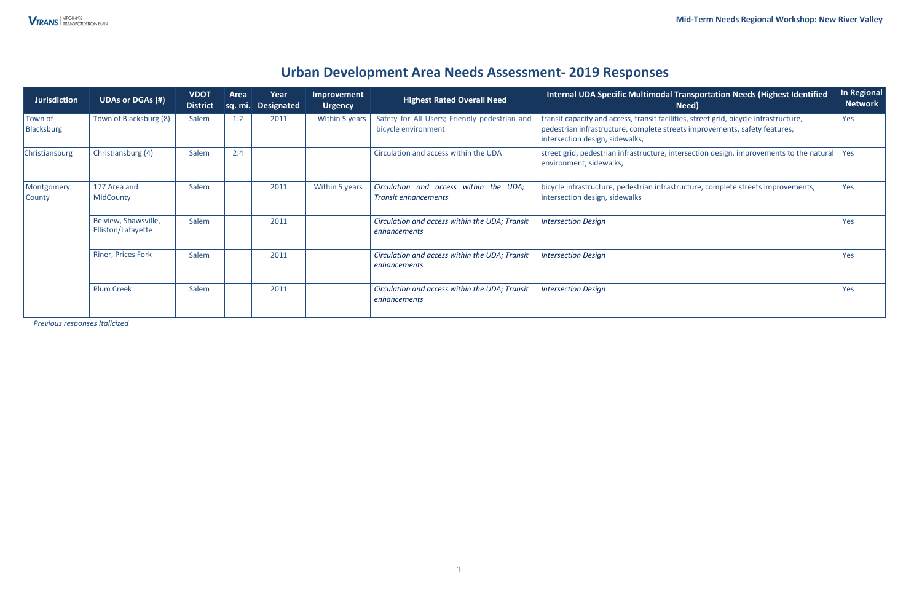## **Urban Development Area Needs Assessment- 2019 Responses**

*Previous responses Italicized* 

| <b>Jurisdiction</b>          | <b>UDAs or DGAs (#)</b>                    | <b>VDOT</b><br><b>District</b> | Area | Year<br>sq. mi. Designated | Improvement<br><b>Urgency</b> | <b>Highest Rated Overall Need</b>                                                                                                                            | Internal UDA Specific Multimodal Transportation Needs (Highest Identified<br>Need)                                                                                                                     | In Regional<br><b>Network</b> |
|------------------------------|--------------------------------------------|--------------------------------|------|----------------------------|-------------------------------|--------------------------------------------------------------------------------------------------------------------------------------------------------------|--------------------------------------------------------------------------------------------------------------------------------------------------------------------------------------------------------|-------------------------------|
| Town of<br><b>Blacksburg</b> | Town of Blacksburg (8)                     | Salem                          | 1.2  | 2011                       | Within 5 years                | Safety for All Users; Friendly pedestrian and<br>bicycle environment                                                                                         | transit capacity and access, transit facilities, street grid, bicycle infrastructure,<br>pedestrian infrastructure, complete streets improvements, safety features,<br>intersection design, sidewalks, | Yes                           |
| Christiansburg               | Christiansburg (4)                         | Salem                          | 2.4  |                            |                               | Circulation and access within the UDA<br>street grid, pedestrian infrastructure, intersection design, improvements to the natural<br>environment, sidewalks, |                                                                                                                                                                                                        | <b>Yes</b>                    |
| Montgomery<br>County         | 177 Area and<br><b>MidCounty</b>           | Salem                          |      | 2011                       | Within 5 years                | Circulation and access within the UDA;<br><b>Transit enhancements</b>                                                                                        | bicycle infrastructure, pedestrian infrastructure, complete streets improvements,<br>intersection design, sidewalks                                                                                    | Yes                           |
|                              | Belview, Shawsville,<br>Elliston/Lafayette | Salem                          |      | 2011                       |                               | Circulation and access within the UDA; Transit<br>enhancements                                                                                               | <b>Intersection Design</b>                                                                                                                                                                             | Yes                           |
|                              | <b>Riner, Prices Fork</b>                  | Salem                          |      | 2011                       |                               | Circulation and access within the UDA; Transit<br>enhancements                                                                                               | <b>Intersection Design</b>                                                                                                                                                                             | Yes                           |
|                              | <b>Plum Creek</b>                          | Salem                          |      | 2011                       |                               | Circulation and access within the UDA; Transit<br>enhancements                                                                                               | <b>Intersection Design</b>                                                                                                                                                                             | Yes                           |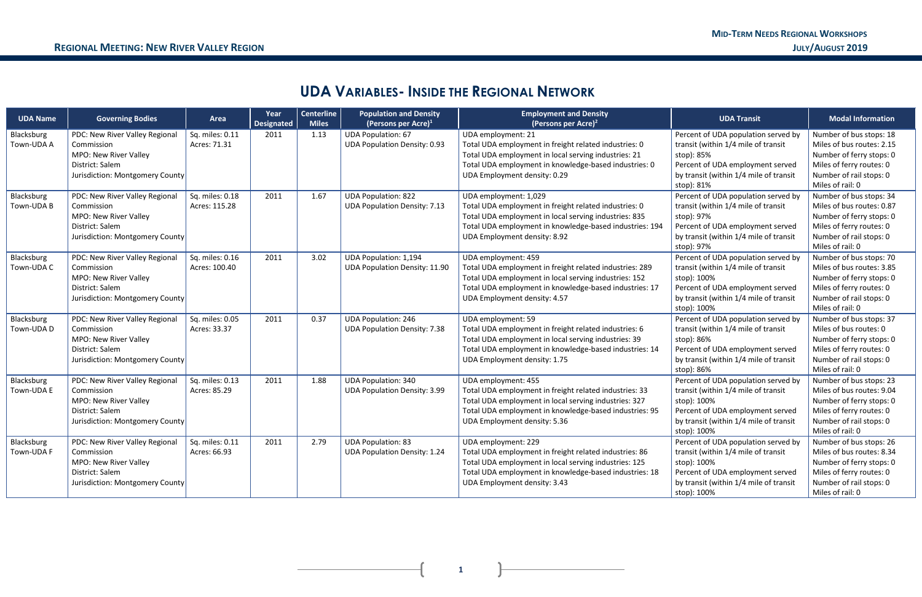# **UDA VARIABLES- INSIDE THE REGIONAL NETWORK**

| <b>UDA Name</b>          | <b>Governing Bodies</b>                                                                                                     | Area                             | Year<br><b>Designated</b> | <b>Centerline</b><br><b>Miles</b> | <b>Population and Density</b><br>(Persons per Acre) <sup>1</sup>     | <b>Employment and Density</b><br>(Persons per Acre) <sup>2</sup>                                                                                                                                                                   | <b>UDA Transit</b>                                                                                                                                                                     | <b>Modal Information</b>                                                                                                                                    |
|--------------------------|-----------------------------------------------------------------------------------------------------------------------------|----------------------------------|---------------------------|-----------------------------------|----------------------------------------------------------------------|------------------------------------------------------------------------------------------------------------------------------------------------------------------------------------------------------------------------------------|----------------------------------------------------------------------------------------------------------------------------------------------------------------------------------------|-------------------------------------------------------------------------------------------------------------------------------------------------------------|
| Blacksburg<br>Town-UDA A | PDC: New River Valley Regional<br>Commission<br>MPO: New River Valley<br>District: Salem<br>Jurisdiction: Montgomery County | Sq. miles: 0.11<br>Acres: 71.31  | 2011                      | 1.13                              | <b>UDA Population: 67</b><br><b>UDA Population Density: 0.93</b>     | UDA employment: 21<br>Total UDA employment in freight related industries: 0<br>Total UDA employment in local serving industries: 21<br>Total UDA employment in knowledge-based industries: 0<br>UDA Employment density: 0.29       | Percent of UDA population served by<br>transit (within 1/4 mile of transit<br>stop): 85%<br>Percent of UDA employment served<br>by transit (within 1/4 mile of transit<br>stop): 81%   | Number of bus stops: 18<br>Miles of bus routes: 2.15<br>Number of ferry stops: 0<br>Miles of ferry routes: 0<br>Number of rail stops: 0<br>Miles of rail: 0 |
| Blacksburg<br>Town-UDA B | PDC: New River Valley Regional<br>Commission<br>MPO: New River Valley<br>District: Salem<br>Jurisdiction: Montgomery County | Sq. miles: 0.18<br>Acres: 115.28 | 2011                      | 1.67                              | <b>UDA Population: 822</b><br><b>UDA Population Density: 7.13</b>    | UDA employment: 1,029<br>Total UDA employment in freight related industries: 0<br>Total UDA employment in local serving industries: 835<br>Total UDA employment in knowledge-based industries: 194<br>UDA Employment density: 8.92 | Percent of UDA population served by<br>transit (within 1/4 mile of transit<br>stop): 97%<br>Percent of UDA employment served<br>by transit (within 1/4 mile of transit<br>stop): 97%   | Number of bus stops: 34<br>Miles of bus routes: 0.87<br>Number of ferry stops: 0<br>Miles of ferry routes: 0<br>Number of rail stops: 0<br>Miles of rail: 0 |
| Blacksburg<br>Town-UDA C | PDC: New River Valley Regional<br>Commission<br>MPO: New River Valley<br>District: Salem<br>Jurisdiction: Montgomery County | Sq. miles: 0.16<br>Acres: 100.40 | 2011                      | 3.02                              | <b>UDA Population: 1,194</b><br><b>UDA Population Density: 11.90</b> | UDA employment: 459<br>Total UDA employment in freight related industries: 289<br>Total UDA employment in local serving industries: 152<br>Total UDA employment in knowledge-based industries: 17<br>UDA Employment density: 4.57  | Percent of UDA population served by<br>transit (within 1/4 mile of transit<br>stop): 100%<br>Percent of UDA employment served<br>by transit (within 1/4 mile of transit<br>stop): 100% | Number of bus stops: 70<br>Miles of bus routes: 3.85<br>Number of ferry stops: 0<br>Miles of ferry routes: 0<br>Number of rail stops: 0<br>Miles of rail: 0 |
| Blacksburg<br>Town-UDA D | PDC: New River Valley Regional<br>Commission<br>MPO: New River Valley<br>District: Salem<br>Jurisdiction: Montgomery County | Sq. miles: 0.05<br>Acres: 33.37  | 2011                      | 0.37                              | <b>UDA Population: 246</b><br><b>UDA Population Density: 7.38</b>    | UDA employment: 59<br>Total UDA employment in freight related industries: 6<br>Total UDA employment in local serving industries: 39<br>Total UDA employment in knowledge-based industries: 14<br>UDA Employment density: 1.75      | Percent of UDA population served by<br>transit (within 1/4 mile of transit<br>stop): 86%<br>Percent of UDA employment served<br>by transit (within 1/4 mile of transit<br>stop): 86%   | Number of bus stops: 37<br>Miles of bus routes: 0<br>Number of ferry stops: 0<br>Miles of ferry routes: 0<br>Number of rail stops: 0<br>Miles of rail: 0    |
| Blacksburg<br>Town-UDA E | PDC: New River Valley Regional<br>Commission<br>MPO: New River Valley<br>District: Salem<br>Jurisdiction: Montgomery County | Sq. miles: 0.13<br>Acres: 85.29  | 2011                      | 1.88                              | <b>UDA Population: 340</b><br><b>UDA Population Density: 3.99</b>    | UDA employment: 455<br>Total UDA employment in freight related industries: 33<br>Total UDA employment in local serving industries: 327<br>Total UDA employment in knowledge-based industries: 95<br>UDA Employment density: 5.36   | Percent of UDA population served by<br>transit (within 1/4 mile of transit<br>stop): 100%<br>Percent of UDA employment served<br>by transit (within 1/4 mile of transit<br>stop): 100% | Number of bus stops: 23<br>Miles of bus routes: 9.04<br>Number of ferry stops: 0<br>Miles of ferry routes: 0<br>Number of rail stops: 0<br>Miles of rail: 0 |
| Blacksburg<br>Town-UDA F | PDC: New River Valley Regional<br>Commission<br>MPO: New River Valley<br>District: Salem<br>Jurisdiction: Montgomery County | Sq. miles: 0.11<br>Acres: 66.93  | 2011                      | 2.79                              | <b>UDA Population: 83</b><br><b>UDA Population Density: 1.24</b>     | UDA employment: 229<br>Total UDA employment in freight related industries: 86<br>Total UDA employment in local serving industries: 125<br>Total UDA employment in knowledge-based industries: 18<br>UDA Employment density: 3.43   | Percent of UDA population served by<br>transit (within 1/4 mile of transit<br>stop): 100%<br>Percent of UDA employment served<br>by transit (within 1/4 mile of transit<br>stop): 100% | Number of bus stops: 26<br>Miles of bus routes: 8.34<br>Number of ferry stops: 0<br>Miles of ferry routes: 0<br>Number of rail stops: 0<br>Miles of rail: 0 |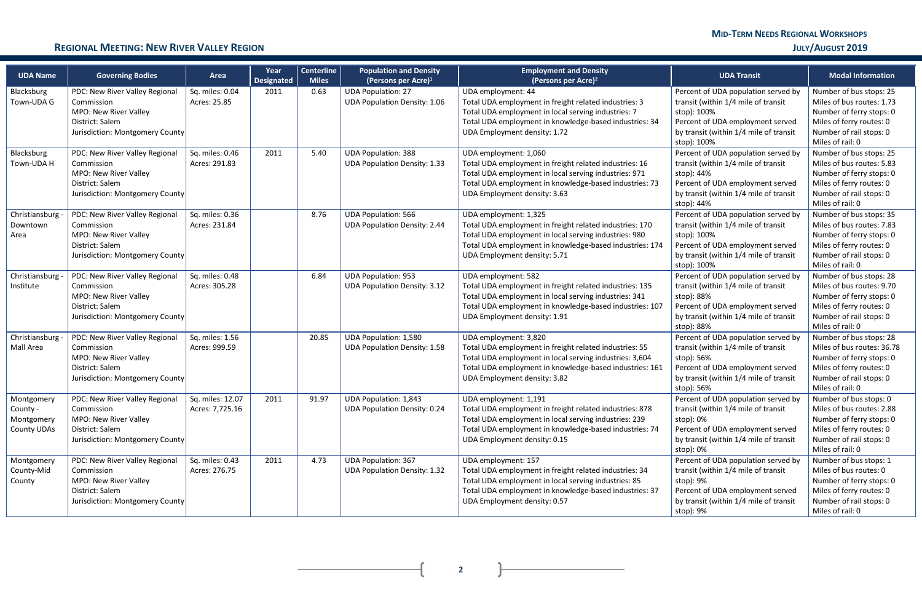# **MID-TERM NEEDS REGIONAL WORKSHOPS**

### **REGIONAL MEETING: NEW RIVER VALLEY REGION JULY/AUGUST 2019**

 $\overline{+}$ 

 $\mathbf{R}$ 

| <b>UDA Name</b>                                            | <b>Governing Bodies</b>                                                                                                     | Area                                | Year<br><b>Designated</b> | <b>Centerline</b><br><b>Miles</b> | <b>Population and Density</b><br>(Persons per Acre) $1$             | <b>Employment and Density</b><br>(Persons per Acre) <sup>2</sup>                                                                                                                                                                      | <b>UDA Transit</b>                                                                                                                                                                     | <b>Modal Information</b>                                                                                                                                     |
|------------------------------------------------------------|-----------------------------------------------------------------------------------------------------------------------------|-------------------------------------|---------------------------|-----------------------------------|---------------------------------------------------------------------|---------------------------------------------------------------------------------------------------------------------------------------------------------------------------------------------------------------------------------------|----------------------------------------------------------------------------------------------------------------------------------------------------------------------------------------|--------------------------------------------------------------------------------------------------------------------------------------------------------------|
| Blacksburg<br>Town-UDA G                                   | PDC: New River Valley Regional<br>Commission<br>MPO: New River Valley<br>District: Salem<br>Jurisdiction: Montgomery County | Sq. miles: 0.04<br>Acres: 25.85     | 2011                      | 0.63                              | <b>UDA Population: 27</b><br><b>UDA Population Density: 1.06</b>    | UDA employment: 44<br>Total UDA employment in freight related industries: 3<br>Total UDA employment in local serving industries: 7<br>Total UDA employment in knowledge-based industries: 34<br>UDA Employment density: 1.72          | Percent of UDA population served by<br>transit (within 1/4 mile of transit<br>stop): 100%<br>Percent of UDA employment served<br>by transit (within 1/4 mile of transit<br>stop): 100% | Number of bus stops: 25<br>Miles of bus routes: 1.73<br>Number of ferry stops: 0<br>Miles of ferry routes: 0<br>Number of rail stops: 0<br>Miles of rail: 0  |
| Blacksburg<br>Town-UDA H                                   | PDC: New River Valley Regional<br>Commission<br>MPO: New River Valley<br>District: Salem<br>Jurisdiction: Montgomery County | Sq. miles: 0.46<br>Acres: 291.83    | 2011                      | 5.40                              | <b>UDA Population: 388</b><br><b>UDA Population Density: 1.33</b>   | UDA employment: 1,060<br>Total UDA employment in freight related industries: 16<br>Total UDA employment in local serving industries: 971<br>Total UDA employment in knowledge-based industries: 73<br>UDA Employment density: 3.63    | Percent of UDA population served by<br>transit (within 1/4 mile of transit<br>stop): 44%<br>Percent of UDA employment served<br>by transit (within 1/4 mile of transit<br>stop): 44%   | Number of bus stops: 25<br>Miles of bus routes: 5.83<br>Number of ferry stops: 0<br>Miles of ferry routes: 0<br>Number of rail stops: 0<br>Miles of rail: 0  |
| Christiansburg -<br>Downtown<br>Area                       | PDC: New River Valley Regional<br>Commission<br>MPO: New River Valley<br>District: Salem<br>Jurisdiction: Montgomery County | Sq. miles: 0.36<br>Acres: 231.84    |                           | 8.76                              | <b>UDA Population: 566</b><br><b>UDA Population Density: 2.44</b>   | UDA employment: 1,325<br>Total UDA employment in freight related industries: 170<br>Total UDA employment in local serving industries: 980<br>Total UDA employment in knowledge-based industries: 174<br>UDA Employment density: 5.71  | Percent of UDA population served by<br>transit (within 1/4 mile of transit<br>stop): 100%<br>Percent of UDA employment served<br>by transit (within 1/4 mile of transit<br>stop): 100% | Number of bus stops: 35<br>Miles of bus routes: 7.83<br>Number of ferry stops: 0<br>Miles of ferry routes: 0<br>Number of rail stops: 0<br>Miles of rail: 0  |
| Christiansburg<br>Institute                                | PDC: New River Valley Regional<br>Commission<br>MPO: New River Valley<br>District: Salem<br>Jurisdiction: Montgomery County | Sq. miles: 0.48<br>Acres: 305.28    |                           | 6.84                              | <b>UDA Population: 953</b><br><b>UDA Population Density: 3.12</b>   | UDA employment: 582<br>Total UDA employment in freight related industries: 135<br>Total UDA employment in local serving industries: 341<br>Total UDA employment in knowledge-based industries: 107<br>UDA Employment density: 1.91    | Percent of UDA population served by<br>transit (within 1/4 mile of transit<br>stop): 88%<br>Percent of UDA employment served<br>by transit (within 1/4 mile of transit<br>stop): 88%   | Number of bus stops: 28<br>Miles of bus routes: 9.70<br>Number of ferry stops: 0<br>Miles of ferry routes: 0<br>Number of rail stops: 0<br>Miles of rail: 0  |
| Christiansburg -<br>Mall Area                              | PDC: New River Valley Regional<br>Commission<br>MPO: New River Valley<br>District: Salem<br>Jurisdiction: Montgomery County | Sq. miles: 1.56<br>Acres: 999.59    |                           | 20.85                             | <b>UDA Population: 1,580</b><br><b>UDA Population Density: 1.58</b> | UDA employment: 3,820<br>Total UDA employment in freight related industries: 55<br>Total UDA employment in local serving industries: 3,604<br>Total UDA employment in knowledge-based industries: 161<br>UDA Employment density: 3.82 | Percent of UDA population served by<br>transit (within 1/4 mile of transit<br>stop): 56%<br>Percent of UDA employment served<br>by transit (within 1/4 mile of transit<br>stop): 56%   | Number of bus stops: 28<br>Miles of bus routes: 36.78<br>Number of ferry stops: 0<br>Miles of ferry routes: 0<br>Number of rail stops: 0<br>Miles of rail: 0 |
| Montgomery<br>County -<br>Montgomery<br><b>County UDAs</b> | PDC: New River Valley Regional<br>Commission<br>MPO: New River Valley<br>District: Salem<br>Jurisdiction: Montgomery County | Sq. miles: 12.07<br>Acres: 7,725.16 | 2011                      | 91.97                             | <b>UDA Population: 1,843</b><br><b>UDA Population Density: 0.24</b> | UDA employment: 1,191<br>Total UDA employment in freight related industries: 878<br>Total UDA employment in local serving industries: 239<br>Total UDA employment in knowledge-based industries: 74<br>UDA Employment density: 0.15   | Percent of UDA population served by<br>transit (within 1/4 mile of transit<br>stop): 0%<br>Percent of UDA employment served<br>by transit (within 1/4 mile of transit<br>stop): 0%     | Number of bus stops: 0<br>Miles of bus routes: 2.88<br>Number of ferry stops: 0<br>Miles of ferry routes: 0<br>Number of rail stops: 0<br>Miles of rail: 0   |
| Montgomery<br>County-Mid<br>County                         | PDC: New River Valley Regional<br>Commission<br>MPO: New River Valley<br>District: Salem<br>Jurisdiction: Montgomery County | Sq. miles: 0.43<br>Acres: 276.75    | 2011                      | 4.73                              | <b>UDA Population: 367</b><br><b>UDA Population Density: 1.32</b>   | UDA employment: 157<br>Total UDA employment in freight related industries: 34<br>Total UDA employment in local serving industries: 85<br>Total UDA employment in knowledge-based industries: 37<br>UDA Employment density: 0.57       | Percent of UDA population served by<br>transit (within 1/4 mile of transit<br>stop): 9%<br>Percent of UDA employment served<br>by transit (within 1/4 mile of transit<br>stop): 9%     | Number of bus stops: 1<br>Miles of bus routes: 0<br>Number of ferry stops: 0<br>Miles of ferry routes: 0<br>Number of rail stops: 0<br>Miles of rail: 0      |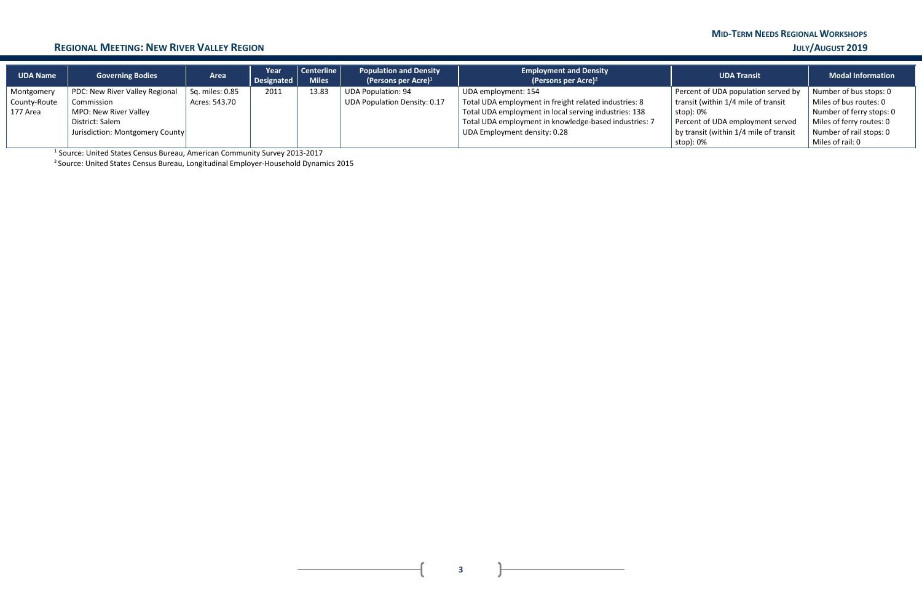# **MID-TERM NEEDS REGIONAL WORKSHOPS**

### **REGIONAL MEETING: NEW RIVER VALLEY REGION JULY/AUGUST 2019**

| <b>UDA Name</b> | <b>Governing Bodies</b>         | Area                    | Year<br>Designated | Centerline<br><b>Miles</b> | <b>Population and Density</b><br>(Persons per Acre) $1$ | <b>Employment and Density</b><br>(Persons per Acre) <sup>2</sup> | <b>UDA Transit</b>                       | <b>Modal Information</b> |
|-----------------|---------------------------------|-------------------------|--------------------|----------------------------|---------------------------------------------------------|------------------------------------------------------------------|------------------------------------------|--------------------------|
| Montgomery      | PDC: New River Valley Regional  | $\vert$ Sq. miles: 0.85 | 2011               | 13.83                      | <b>UDA Population: 94</b>                               | UDA employment: 154                                              | Percent of UDA population served by      | Number of bus stops: 0   |
| County-Route    | Commission                      | Acres: 543.70           |                    |                            | UDA Population Density: 0.17                            | Total UDA employment in freight related industries: 8            | transit (within 1/4 mile of transit      | Miles of bus routes: 0   |
| 177 Area        | MPO: New River Valley           |                         |                    |                            |                                                         | Total UDA employment in local serving industries: 138            | stop): 0%                                | Number of ferry stops: 0 |
|                 | District: Salem                 |                         |                    |                            |                                                         | Total UDA employment in knowledge-based industries: 7            | Percent of UDA employment served         | Miles of ferry routes: 0 |
|                 | Jurisdiction: Montgomery County |                         |                    |                            |                                                         | UDA Employment density: 0.28                                     | by transit (within $1/4$ mile of transit | Number of rail stops: 0  |
|                 |                                 |                         |                    |                            |                                                         |                                                                  | stop): 0%                                | Miles of rail: 0         |

<sup>1</sup> Source: United States Census Bureau, American Community Survey 2013-2017

2 Source: United States Census Bureau, Longitudinal Employer-Household Dynamics 2015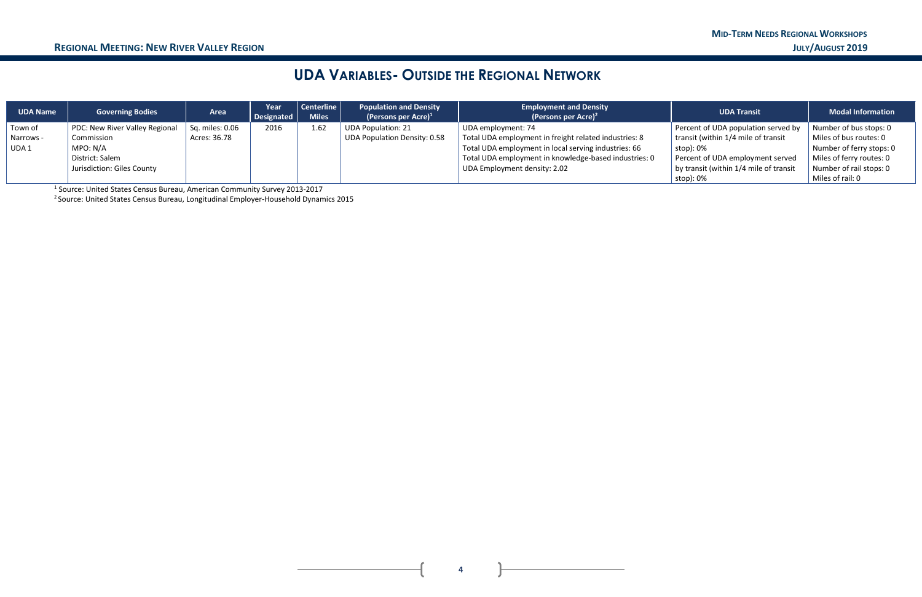# **UDA VARIABLES- OUTSIDE THE REGIONAL NETWORK**

| <b>UDA Name</b>  | <b>Governing Bodies</b>        | <b>Area</b>     | Year<br>Designated | Centerline<br><b>Miles</b> | <b>Population and Density</b><br>(Persons per Acre) $1$ | <b>Employment and Density</b><br>(Persons per Acre) <sup>2</sup> | <b>UDA Transit</b>                       | <b>Modal Information</b> |
|------------------|--------------------------------|-----------------|--------------------|----------------------------|---------------------------------------------------------|------------------------------------------------------------------|------------------------------------------|--------------------------|
| Town of          | PDC: New River Valley Regional | Sq. miles: 0.06 | 2016               | 1.62                       | <b>UDA Population: 21</b>                               | UDA employment: 74                                               | Percent of UDA population served by      | Number of bus stops: 0   |
| Narrows -        | Commission                     | Acres: 36.78    |                    |                            | <b>UDA Population Density: 0.58</b>                     | Total UDA employment in freight related industries: 8            | transit (within 1/4 mile of transit      | Miles of bus routes: 0   |
| UDA <sub>1</sub> | MPO: N/A                       |                 |                    |                            |                                                         | Total UDA employment in local serving industries: 66             | stop): $0\%$                             | Number of ferry stops: 0 |
|                  | District: Salem                |                 |                    |                            |                                                         | Total UDA employment in knowledge-based industries: 0            | Percent of UDA employment served         | Miles of ferry routes: 0 |
|                  | Jurisdiction: Giles County     |                 |                    |                            |                                                         | UDA Employment density: 2.02                                     | by transit (within $1/4$ mile of transit | Number of rail stops: 0  |
|                  |                                |                 |                    |                            |                                                         |                                                                  | stop): 0%                                | Miles of rail: 0         |

1 Source: United States Census Bureau, American Community Survey 2013-2017

2 Source: United States Census Bureau, Longitudinal Employer-Household Dynamics 2015